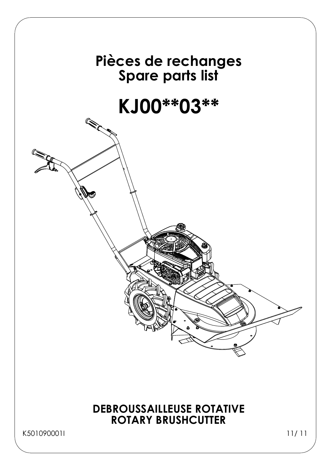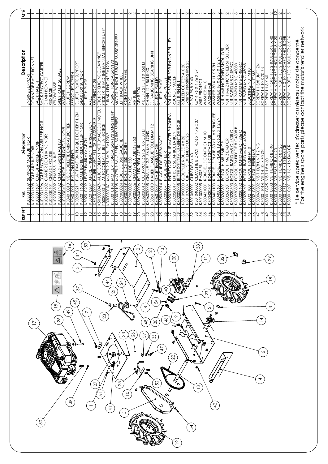| ð             |                     |                                        |                               |            |                                       |               |                      |                         |                                          |                                            |                                           |                             |                     |                                     |            |             |                                                                                                                                                     |                       |            |                                                                             |                    |                                                 |             | 2<br>ᠭ        |                      |                               |                                                       |                                   |                             |                                      |                                                |                 |                                                         |                         | $\scriptstyle\sim$           |                                                                  |            |                               |                                   |              |                       |                                 |                                                                                           | ω                                                               |                           | $\sim$                      |                                                                                         | ∞                 |               |               | ᇰ     |                      |                         |                                  |                                                                                                             |                                      | 2               | $\overline{\mathbf{C}}$ | $\mathbf{\Omega}$                                                                                         |          | ∿া<br>5                                                                   |                                                   |                                         |                                                                          |  |
|---------------|---------------------|----------------------------------------|-------------------------------|------------|---------------------------------------|---------------|----------------------|-------------------------|------------------------------------------|--------------------------------------------|-------------------------------------------|-----------------------------|---------------------|-------------------------------------|------------|-------------|-----------------------------------------------------------------------------------------------------------------------------------------------------|-----------------------|------------|-----------------------------------------------------------------------------|--------------------|-------------------------------------------------|-------------|---------------|----------------------|-------------------------------|-------------------------------------------------------|-----------------------------------|-----------------------------|--------------------------------------|------------------------------------------------|-----------------|---------------------------------------------------------|-------------------------|------------------------------|------------------------------------------------------------------|------------|-------------------------------|-----------------------------------|--------------|-----------------------|---------------------------------|-------------------------------------------------------------------------------------------|-----------------------------------------------------------------|---------------------------|-----------------------------|-----------------------------------------------------------------------------------------|-------------------|---------------|---------------|-------|----------------------|-------------------------|----------------------------------|-------------------------------------------------------------------------------------------------------------|--------------------------------------|-----------------|-------------------------|-----------------------------------------------------------------------------------------------------------|----------|---------------------------------------------------------------------------|---------------------------------------------------|-----------------------------------------|--------------------------------------------------------------------------|--|
| Description   | ENGINE SUPPORT      | DOWNSIDE BACK BONNET<br>BACK HATCH     | CARTER<br><b>BACK PROTECT</b> |            | <u>CHAIN BONNE'</u><br>RED BASE       | YELOW BASE    | GREY RAL8120 BASE    | WASHER                  |                                          | 프<br><u>CLUTCH SCREW</u><br>SPROCKET 8 TEE | CLUTCH PLATE SUPPORT                      | <b>GEARBOX SUPPOR</b>       | <b>CLUTCH PLATE</b> | ΧŃ                                  |            |             | <b>STICKER</b> " READ THE MANUAL BEFORE USE                                                                                                         | SUBARU ENGINE EA190V  |            | SERIES<br><b>BS850</b><br><u>ENGINE HONDA GSV190</u><br>MOTOR WITHOUT BRAKE | WHEEI<br>LEFT BACK | RIGHT BACK WHEE                                 | TYRE        |               | AIR TUBE             | <b>GEARBOX</b><br>V BELT Z 21 | $.510 \times 550$                                     | CHAIN 12.7 56 LINKS               | SELF-ALIGNING BEARING UNIT  | <b>CLUTCH PULLEY</b><br>CLUTCH PLATE |                                                |                 | <u>ENGINE PULLEY<br/>ROUND SPACER FOR ENGINE PULLEY</u> | ROUND SPACER            | 3/4 TURN NUT                 | $\frac{5}{2}$<br>ROLLED COTTER 4 X 20<br>External retaiting ring |            | $\frac{1}{2}$<br>CIRCLIPS 8 X | KEY 4.76 X 4.76 X 37              | WIRE PROTECT | WASHER M10            | WASHER M8                       | ∽∣<br><b>WASHER 30 X</b>                                                                  | $\overline{z}$<br>$\frac{1}{2}$<br>$\ddot{\circ}$<br>WASHER 18X | NUT H M8 NOTCHED SHOULDER | NUT H M6 Z NOTCHED SHOULDER | NUT RAPID M8 C 4808C<br>NUT RAPID M8 C 4808B<br>NUT RAPID M6 C 4806C                    |                   |               |               |       | NUT RAPID M6 C 4806B | <b>BLOCKING NUT M10</b> | $\leq$<br><b>BLOCKING NUT M8</b> | $\leq$<br>写<br>$ \varepsilon $<br>$ \breve{}$<br>$\frac{3}{8}$                                              | SCREWTHT                             | SCREW TH 8 X 60 |                         | SC K & YEOTIOPIED SHOULDER 8 X 20<br>SC KEW H NOTCHED SHOULDER 8 X 20<br>SC KEW H NOTCHED SHOULDER 8 X 25 |          | <u>SCREW H 6 X 10 NOTCHED SHOULDER</u><br>SCREW H NOTCHED SHOULDER 6 X 16 |                                                   | s'adresser au réseau motoriste concerné | For the engine's spare parts,please contact the motor's retailer network |  |
| Désignation   | support moteur noir | :APOT ARRIERE NOIR<br>OLE ARR INF NOIR | OLE PROTECTION ARRIERE NOIR   |            | CARTÉR DE CHAINE NOI<br>CHASSIS ROUGE | CHASSIS JAUNE | CHASSIS GRIS RAL8120 | RONDELLE OBLONG ZN NOIR | ΙĘ<br><b>IS DE BIELETTE EMBRAY.BOITI</b> | PIGNON 8 DENTS                             | $\leq$<br>PLAT FIXATION PLAQUE DE DEB FIL | CALE BOITIER REDUCTEUR NOIR | LEVIER EMBRAYAGE ZN | <b>PIGNON TRANSMISSION</b><br>ARBRE |            |             | PALIER AVEC RLT. DE 25 ASSEMBLE<br>AUTOCOLLANT NETTOYAGE DU MOTEURSTICKER "ENGINE CLEANING"<br>AUTOCOLLANT LIRE LA NOTICE "SITCKER" READ THE MANUAI | MOTEUR SUBARU EA190V* |            | MOTEUR HONDA GSV190 SANS FREIN*<br>MOTEUR SANS FREIN BS 850 SERIES*         |                    | <u>ROUE DE 350 GAUCHE</u><br>ROUE DE 350 DROITE | PNEU DE 350 |               | CHAMBRE A AIR DE 350 |                               | <b>BOITIER REDUCTEUR<br/>COURROIE Z 21.5 10 x 550</b> | <b>56 MAILLONS</b><br>CHAINE 12.7 | PALIER FLASQUE TOLE DIAM 12 |                                      | <u>GALET EMBRAYAGE<br/>PLAQUE DE DEBRAYAGE</u> | POULIE MOTEUR   | ENTRETOISE POULIE MOTEUR HONDA                          | ENTRETOISE ARTICULATION | BUTEE D'ENTRAINEMENT DE ROUE | GOUPILLE ROULEE 4 x 20<br>CIRCLIPS EXTERIEUR DE 25               |            | LIPS DE $8 \times 40$         | CLAVETTE B.DROIT 4.76 x 4.76 x 37 | PASSE FIL    | RONDELLE CONTACT M 10 | T M8<br>CONTAC<br><b>RONDEL</b> | I x 5 ZINGUEE<br><u>RONDELLE PLATE 30 x 1 1 x 5 ZIN</u><br>RONDELLE PLATE 18 x 6.25 x 1.2 |                                                                 | ECROU H M8 EMB CR         | ECROU H M6 Z EMB CR         | <u>O 9087 O 9M GIVA NONO3<br/>19087 S 3O, GIJVA , NONO3<br/>O 8087 O 8M GIJVA NONO3</u> | $\infty$<br>C4808 |               |               | 4806B | ECROU RAPID M 6 C    | ECROU FREIN M10         |                                  | <u>ECROU FREIN M8</u><br>VIS TH3/8 UN <u>F1 ZING</u><br><b>TH3/8 UNF1</b><br>$10 \times$<br>ΙΞ<br>$\approx$ | <b>ZO ZN</b><br>VIS TH $8 \times 60$ | VISHEMBCR8x40   |                         | <u>VIS EMB CR 8 x 20</u><br>VIS H EMB CR 8 x 25                                                           |          |                                                                           | <u>VIS H 6 x 10 EMB CR</u><br>VIS H 6 x 16 EMB CR | après vente:                            |                                                                          |  |
| ខ្ពុ          | KJ02031609          | KJ02031608<br>KJ02031607               | J02031606                     | KJ02031602 | KJ02030601                            | KJ02030802    | KJ02031402           | KJ02030401              |                                          | 1100100931<br>RE04010018                   | KE02020211                                | KE02011605                  | KE02010209          | KE0201020                           | KE01010001 | K503000047- | K503000015-                                                                                                                                         | K330030106-           | K330010104 | 30020108                                                                    | 309000024          | K309000019                                      | K309000002  |               | 309000026            |                               | $(306040006$<br>$(306030012)$                         | K306020005                        | 306010010                   | 306010001                            | (305030014                                     | 30203007        | (30202003)                                              | K30202001               | K302000005                   | K301090003<br>K301070007                                         |            | 30105000                      | K301040002                        | K301000005   | 300431001             | 30043080                        | $\frac{103}{2}$<br>(30040)                                                                | (300400601                                                      | K300260801                | K300260601                  | $300230803$                                                                             | 30802<br>30023    | 300230602     |               |       | K300230601           | K300211001              | 300210801                        | 014<br>300060302<br>.300011                                                                                 | K300010825                           | K300010803      | <300010802              | (30001080)                                                                                                | 30001061 | K300010601                                                                |                                                   | service<br>$\frac{0}{*}$                |                                                                          |  |
| <b>REP N°</b> |                     | ო                                      |                               | <u>In</u>  | ∘                                     | ∘             | ∽                    |                         |                                          | $\infty$                                   | $\supseteq$                               |                             |                     |                                     | 41         | 5           | ∾                                                                                                                                                   |                       |            |                                                                             | $\infty$           | $\tilde{=}$                                     | $\tilde{=}$ | $\frac{1}{2}$ |                      |                               | $\frac{2}{2}$ $\frac{2}{2}$                           |                                   |                             |                                      | $\frac{24}{25}$                                | $\frac{25}{20}$ |                                                         |                         | $\frac{8}{2}$                |                                                                  | ခြုပြုမှုမ |                               |                                   |              |                       |                                 |                                                                                           |                                                                 | $\sqrt{8}$                | ੍ਰ                          | $\overline{+}$                                                                          | $^{42}$           | $\frac{3}{4}$ | $\frac{4}{4}$ |       |                      | 45                      | $\frac{8}{3}$                    | $\frac{8}{4}$<br>ᅱ                                                                                          | 9                                    | SO              |                         | $\frac{5}{5}$                                                                                             |          | $\frac{5}{4}$                                                             |                                                   |                                         |                                                                          |  |

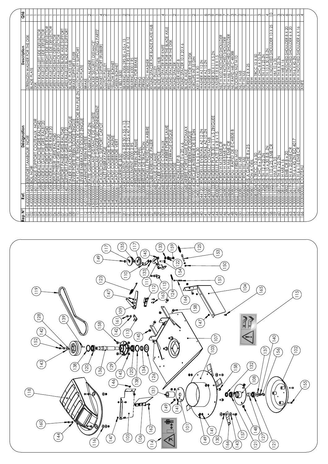| \e<br>उ                                            |                       |                              |                                                                                                |                           |                                                                                                                                          |  |                                                           |                                                      |                   |             |  |                                              |                                                                                                                                                                                                                               |                                       |          |                                                                                                            |              |          | Nlc |      |                                                                                                                     |  |                |                                                                                                                                                                                                                                                     |                  |                                                                                                                                                                                                                                                | 4                          |                                                           |   |                  |                        |                            |                                                                                                                                                                                 |    | ഗിഗ∣ധര                                                                                                                                                                                        |                             |                                                                              |           |                                                                                                                                                                                  |      |                         |                                                                  |     |                                                        | $\supseteq$                          | m                                                                                                                                               | ،اص  |                                                                                                                                       |             | rul4                                |        |  |
|----------------------------------------------------|-----------------------|------------------------------|------------------------------------------------------------------------------------------------|---------------------------|------------------------------------------------------------------------------------------------------------------------------------------|--|-----------------------------------------------------------|------------------------------------------------------|-------------------|-------------|--|----------------------------------------------|-------------------------------------------------------------------------------------------------------------------------------------------------------------------------------------------------------------------------------|---------------------------------------|----------|------------------------------------------------------------------------------------------------------------|--------------|----------|-----|------|---------------------------------------------------------------------------------------------------------------------|--|----------------|-----------------------------------------------------------------------------------------------------------------------------------------------------------------------------------------------------------------------------------------------------|------------------|------------------------------------------------------------------------------------------------------------------------------------------------------------------------------------------------------------------------------------------------|----------------------------|-----------------------------------------------------------|---|------------------|------------------------|----------------------------|---------------------------------------------------------------------------------------------------------------------------------------------------------------------------------|----|-----------------------------------------------------------------------------------------------------------------------------------------------------------------------------------------------|-----------------------------|------------------------------------------------------------------------------|-----------|----------------------------------------------------------------------------------------------------------------------------------------------------------------------------------|------|-------------------------|------------------------------------------------------------------|-----|--------------------------------------------------------|--------------------------------------|-------------------------------------------------------------------------------------------------------------------------------------------------|------|---------------------------------------------------------------------------------------------------------------------------------------|-------------|-------------------------------------|--------|--|
| STRENGTH WASHER FOR THE DISK<br><b>Description</b> | ⊫<br>∧<br>ADE PL<br>ವ | BSI                          | GREY RAL7040 LEFT SIDE DEFLECTOR                                                               | ā<br>흷<br>GREY RAL8120 LE | <u>GREY RAL7040 RIGHT SIDE DEFLECTC</u><br>GREY RAL7040 BACK DEFLECTOR<br>GREY RAL7040 BACK DEFLECTOR<br>GREY RAL7040 BLADE AXLE SUPPORT |  | <u>GREY RAL8120 BLADE AXLE SUPPORT</u><br>BLADE PLATE HUB | <u>BRAKE SUPPORT LEVER<br/>CLUTCH PULLEY SUPPORT</u> | <b>UTCH PLATE</b> | <b>BRAK</b> |  | <u>DISTANCE"</u><br>: CUT <u>TING PARTS"</u> | <b>RUBBER</b><br><b>CLUTCH ALIGNER<br/>STICKER "SECURITY L<br/>STICKER "CAUTION :<br/>STICKER "CAUTION"</b>                                                                                                                   | <u>CLUTCH PULLEY</u><br>CLUTCH PULLEY |          | <b>YELLOW BONNET</b>                                                                                       | GREEN BONNET |          |     |      | <u>BEARING 6006 2RS 30 x 55 x 13<br/>BEARING 6005 2 RS 25 X 47 X 12<br/>BEARING 6000 2 RS<br/>SPRING<br/>SPRING</u> |  | PROTECT WASHER | SPACER FOR BLADE PLATE HUB<br>$\frac{1}{2}$<br>ē                                                                                                                                                                                                    | <b>BLADE PUL</b> | <b>BLADE GUARD HUB<br/>ROUND SPACER FOR KNIFE<br/>ROUND SPACER FOR THE DIS</b><br>ROUND SPACER FOR THE DIS                                                                                                                                     | <b>AXLE</b><br><b>VADE</b> | ROUND SPACER<br>WASHER HEIGHT 8<br>ROUND SPACER 10 X 20 X | ╰ | <b>BLADE AXL</b> | FOR THE DISK<br>WASHER | <b>CIRCLIPS INT 55 DIN</b> | <u>KEY 5 X 5 X 30<br/>WASHER AZ 12 ZN.</u><br>WASHER AZ 10 ZN.                                                                                                                  | য় | ξ<br>ᆈ<br>$\frac{30 \times 11}{18 \times 8}$<br>WASHER<br>WASHER                                                                                                                              | NUT H M 10 NOTCHED SHOULDER | SHOULDER<br>SHOULDER<br><b>CHED</b><br>NUT H M8 NOTCHED<br>ş<br>H<br>II<br>I | 4808B     | KING NUT M10<br><u>NUT RAPID M8 (</u><br>BLOCKING NUT<br>NUT HU M8                                                                                                               |      |                         |                                                                  |     |                                                        |                                      | NUI HU MÓ<br>SCREW Z8 X 25<br>SCREW RCC 10 X 35<br>SCREW TH 12 X 25 ZN<br>SCREW TH 10 X 30 8.8 ZN<br>SCREW HM 10 X 36 ZD<br>SCREW HM 10 X 35 ZN |      | H M8 X 16<br>H NOTCHED SHOULDER 8 X 20<br>H NOTCHED SHOULDER 6 X 20<br>"'' < ' < ^ ^ ^ 'N<br>SCREW H<br>HOREW H<br>SCREW H<br>SCREW H |             | SHOULDER 6 X 16<br>NOTCHED<br>SCREN |        |  |
| Désignation<br>tambour noir                        |                       | <b>NOIR</b><br><b>JPPORT</b> | JPPORT COUTEAUX NOIR<br>J GAUCHE GRIS RAL7040<br>J GAUCHE GRIS RAL7040<br>J DROIT GRIS RAL7040 | <u>ANDEAU</u>             | <u>2001 105 BANDEAU DROIT GRIS RAL7040</u><br>2001 404 BANDEAU DROIT GRIS RAL8120<br>2001 403 DEFLECTEUR GRIS RAL8120                    |  |                                                           |                                                      |                   |             |  |                                              | Herozoon and Super Street Street Street Street Street Street Street Street Street Street Street Street Street Street Street Street Street Street Street Street Street Street Street Street Street Street Street Street Street |                                       |          | <u>GALET EMBRAYAGE<br/>CAPOT COURROLE ROUGE<br/>CAPOT COURROLE VAN<br/>COURROLE LB50<br/>COURROLE LB50</u> |              |          |     |      |                                                                                                                     |  |                | K <u>oozo Toozi Koulewent 2006 2 RS 30x 55 x 13</u><br>KOOZO TOOL ENGLINE 2005 2 RS 25x 47 x 12<br>KOOZO TOO A RESSORT FREIN DE LAME<br>KOOZO TOOZ RESSORT FREIN DE LAME<br>KOOZO TOOZ EN REJARDELLE PROTECTION ARBRE<br>KOOZO 2007 ENTRETOISE PALI |                  | R302030062"   PATER COUPOLE<br>  K302020068 ENTRETOISE COUTEAUX<br>  K302020068 ENTRETOISE ARBRE PORTE LAME<br>  K302020065 RONDELLE EP 8<br>  K302020064 ENTRETOISE LAME ROTOMAX<br>  K30200064 RONDELLE SERRAGE DISQUE<br>  K30200064 RONDEL |                            |                                                           |   |                  |                        |                            | <u>(LAVETIE 5 x 5 x 30)</u><br>ONDELLE EVENTAIL AZ 12 ZN<br>ONDELLE EVENTAIL AZ 10 ZN                                                                                           |    | ZINGUEI<br>പ്പ്പ<br>0043080   RONDELLE CONTACT M8<br>00040   03 RONDELLE PLATE 30 × 1  <br>00040080   RONDELLE PLATE 30 × 1  <br>00040080   ECROU H M8 EMB CR<br>00026080   ECROU H M8 EMB CR |                             |                                                                              |           | <u>H M6 Z EMB CR<br/>' RAPID' DE 8 C 4808 B</u><br>FREIN M10<br><u>) I ECROU HIWS E</u><br><u>22 ECROU 'R APID'</u><br><u>11 ECROU HU M8<br/>2 ECROU HU M8<br/>2 ECROU HU M8</u> |      | $\overline{\mathbb{E}}$ | <b>NUCHE 8 X:</b><br>OELL<br>210 X 35 ZN<br><b>PITON A</b>       |     | $\frac{12.808 \times 0.11}{10 \times 20.81}$<br>/IS TH | EMB CR<br>$10 \times 25$<br>H<br>NSH | $\frac{x}{y}$<br>$\overline{\mathsf{z}}$                                                                                                        | 읡    | $\frac{\frac{X}{2R} \frac{16}{8 \times 20}}{\frac{20 \text{ EMB C R}}{20 \text{ EMB C R}}}$                                           | $\sqrt{40}$ | ⊸                                   | COUTEA |  |
| $\frac{6}{6}$<br><b>Ref.</b>                       |                       |                              |                                                                                                |                           |                                                                                                                                          |  |                                                           |                                                      |                   |             |  |                                              |                                                                                                                                                                                                                               | $\frac{34000001}{34000001}$           |          | 34000002                                                                                                   | 34000006     | 30603003 |     |      |                                                                                                                     |  |                |                                                                                                                                                                                                                                                     |                  |                                                                                                                                                                                                                                                |                            |                                                           |   |                  |                        |                            | $\frac{\frac{1}{100}}{\frac{1}{100}}$ $\frac{\frac{1}{100}}{\frac{1}{100}}$ $\frac{1}{100}$ $\frac{1}{100}$ $\frac{1}{100}$ $\frac{1}{100}$<br>30104001<br>30044120<br>30044100 |    |                                                                                                                                                                                               | 30026100                    |                                                                              | 300230802 | 3                                                                                                                                                                                | 0080 |                         | $(300090804)$<br>$(300090804)$<br>$(300081004)$<br>$(300020804)$ | 204 | 028<br><b>R3001</b>                                    |                                      | K300011025 \<br>K300011010 \<br>K300010817 \                                                                                                    | 38   |                                                                                                                                       |             | K300010601<br>K003050036            |        |  |
| <b>Rep N°</b>                                      |                       |                              |                                                                                                |                           |                                                                                                                                          |  |                                                           |                                                      |                   |             |  |                                              | ∾                                                                                                                                                                                                                             |                                       | $\infty$ |                                                                                                            | ≌            |          |     | ଶ୍ରୀ |                                                                                                                     |  |                |                                                                                                                                                                                                                                                     |                  | <u>ମଖ୍ଯମଧ୍ୟାଧ୍ୟାଧ୍ୟାଧ୍ୱାଧିକାଖି ଅଧି</u>                                                                                                                                                                                                         |                            |                                                           |   |                  |                        |                            | ᅱ                                                                                                                                                                               |    | साक्षान                                                                                                                                                                                       | 쒀                           | ¥                                                                            | ఇ         |                                                                                                                                                                                  |      |                         |                                                                  |     |                                                        |                                      |                                                                                                                                                 | তাতা |                                                                                                                                       | ଅସ୍ୱାସ୍ଥ    |                                     |        |  |